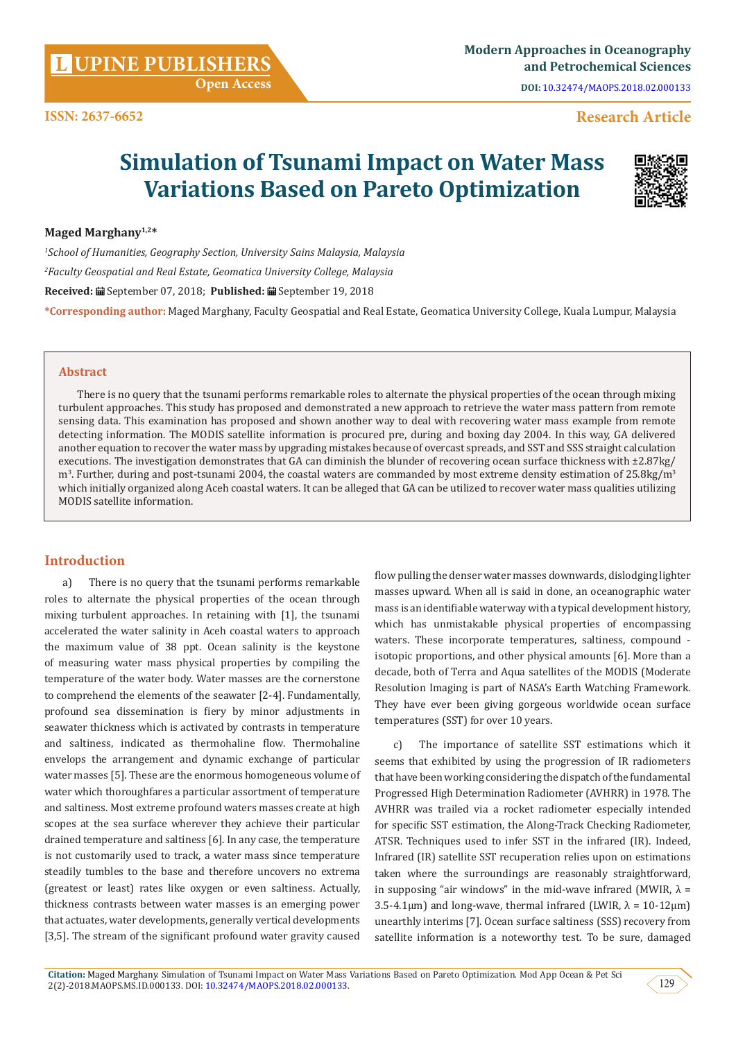**Citation:** Maged Marghany. Simulation of Tsunami Impact on Water Mass Variations Based on Pareto Optimization. Mod App Ocean & Pet Sci 2(2)-2018.MAOPS.MS.ID.000133. DOI: [10.32474/MAOPS.2018.02.000133](http://dx.doi.org/10.32474/MAOPS.2018.02.000133). 129 129

# **Open Access**

# **Research Article**

# **Simulation of Tsunami Impact on Water Mass Variations Based on Pareto Optimization**

**Maged Marghany1,2\***

*1 School of Humanities, Geography Section, University Sains Malaysia, Malaysia 2 Faculty Geospatial and Real Estate, Geomatica University College, Malaysia* **Received:** September 07, 2018; **Published:** September 19, 2018

**\*Corresponding author:** Maged Marghany, Faculty Geospatial and Real Estate, Geomatica University College, Kuala Lumpur, Malaysia

## **Abstract**

There is no query that the tsunami performs remarkable roles to alternate the physical properties of the ocean through mixing turbulent approaches. This study has proposed and demonstrated a new approach to retrieve the water mass pattern from remote sensing data. This examination has proposed and shown another way to deal with recovering water mass example from remote detecting information. The MODIS satellite information is procured pre, during and boxing day 2004. In this way, GA delivered another equation to recover the water mass by upgrading mistakes because of overcast spreads, and SST and SSS straight calculation executions. The investigation demonstrates that GA can diminish the blunder of recovering ocean surface thickness with ±2.87kg/  $\rm m^3$ . Further, during and post-tsunami 2004, the coastal waters are commanded by most extreme density estimation of 25.8kg/m<sup>3</sup> which initially organized along Aceh coastal waters. It can be alleged that GA can be utilized to recover water mass qualities utilizing MODIS satellite information.

# **Introduction**

a) There is no query that the tsunami performs remarkable roles to alternate the physical properties of the ocean through mixing turbulent approaches. In retaining with [1], the tsunami accelerated the water salinity in Aceh coastal waters to approach the maximum value of 38 ppt. Ocean salinity is the keystone of measuring water mass physical properties by compiling the temperature of the water body. Water masses are the cornerstone to comprehend the elements of the seawater [2-4]. Fundamentally, profound sea dissemination is fiery by minor adjustments in seawater thickness which is activated by contrasts in temperature and saltiness, indicated as thermohaline flow. Thermohaline envelops the arrangement and dynamic exchange of particular water masses [5]. These are the enormous homogeneous volume of water which thoroughfares a particular assortment of temperature and saltiness. Most extreme profound waters masses create at high scopes at the sea surface wherever they achieve their particular drained temperature and saltiness [6]. In any case, the temperature is not customarily used to track, a water mass since temperature steadily tumbles to the base and therefore uncovers no extrema (greatest or least) rates like oxygen or even saltiness. Actually, thickness contrasts between water masses is an emerging power that actuates, water developments, generally vertical developments [3,5]. The stream of the significant profound water gravity caused

flow pulling the denser water masses downwards, dislodging lighter masses upward. When all is said in done, an oceanographic water mass is an identifiable waterway with a typical development history, which has unmistakable physical properties of encompassing waters. These incorporate temperatures, saltiness, compound isotopic proportions, and other physical amounts [6]. More than a decade, both of Terra and Aqua satellites of the MODIS (Moderate Resolution Imaging is part of NASA's Earth Watching Framework. They have ever been giving gorgeous worldwide ocean surface temperatures (SST) for over 10 years.

The importance of satellite SST estimations which it seems that exhibited by using the progression of IR radiometers that have been working considering the dispatch of the fundamental Progressed High Determination Radiometer (AVHRR) in 1978. The AVHRR was trailed via a rocket radiometer especially intended for specific SST estimation, the Along-Track Checking Radiometer, ATSR. Techniques used to infer SST in the infrared (IR). Indeed, Infrared (IR) satellite SST recuperation relies upon on estimations taken where the surroundings are reasonably straightforward, in supposing "air windows" in the mid-wave infrared (MWIR,  $\lambda$  = 3.5-4.1 $\mu$ m) and long-wave, thermal infrared (LWIR,  $\lambda = 10-12\mu$ m) unearthly interims [7]. Ocean surface saltiness (SSS) recovery from satellite information is a noteworthy test. To be sure, damaged



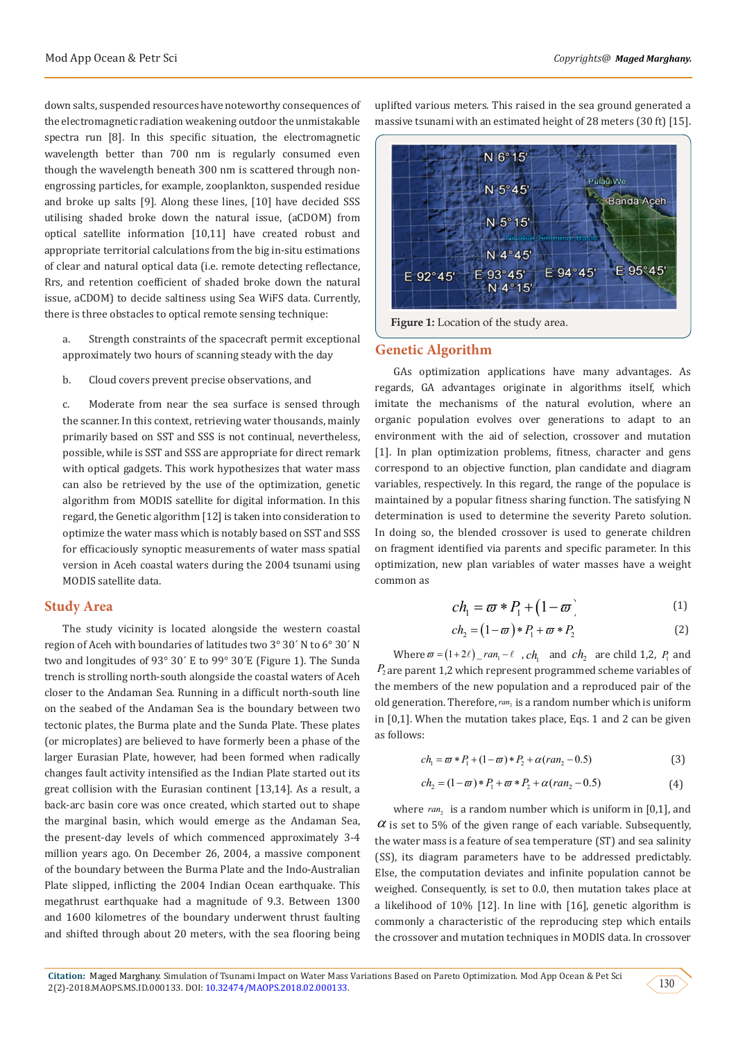down salts, suspended resources have noteworthy consequences of the electromagnetic radiation weakening outdoor the unmistakable spectra run [8]. In this specific situation, the electromagnetic wavelength better than 700 nm is regularly consumed even though the wavelength beneath 300 nm is scattered through nonengrossing particles, for example, zooplankton, suspended residue and broke up salts [9]. Along these lines, [10] have decided SSS utilising shaded broke down the natural issue, (aCDOM) from optical satellite information [10,11] have created robust and appropriate territorial calculations from the big in-situ estimations of clear and natural optical data (i.e. remote detecting reflectance, Rrs, and retention coefficient of shaded broke down the natural issue, aCDOM) to decide saltiness using Sea WiFS data. Currently, there is three obstacles to optical remote sensing technique:

- a. Strength constraints of the spacecraft permit exceptional approximately two hours of scanning steady with the day
- b. Cloud covers prevent precise observations, and

c. Moderate from near the sea surface is sensed through the scanner. In this context, retrieving water thousands, mainly primarily based on SST and SSS is not continual, nevertheless, possible, while is SST and SSS are appropriate for direct remark with optical gadgets. This work hypothesizes that water mass can also be retrieved by the use of the optimization, genetic algorithm from MODIS satellite for digital information. In this regard, the Genetic algorithm [12] is taken into consideration to optimize the water mass which is notably based on SST and SSS for efficaciously synoptic measurements of water mass spatial version in Aceh coastal waters during the 2004 tsunami using MODIS satellite data.

#### **Study Area**

The study vicinity is located alongside the western coastal region of Aceh with boundaries of latitudes two 3° 30´ N to 6° 30´ N two and longitudes of 93° 30´ E to 99° 30´E (Figure 1). The Sunda trench is strolling north-south alongside the coastal waters of Aceh closer to the Andaman Sea. Running in a difficult north-south line on the seabed of the Andaman Sea is the boundary between two tectonic plates, the Burma plate and the Sunda Plate. These plates (or microplates) are believed to have formerly been a phase of the larger Eurasian Plate, however, had been formed when radically changes fault activity intensified as the Indian Plate started out its great collision with the Eurasian continent [13,14]. As a result, a back-arc basin core was once created, which started out to shape the marginal basin, which would emerge as the Andaman Sea, the present-day levels of which commenced approximately 3-4 million years ago. On December 26, 2004, a massive component of the boundary between the Burma Plate and the Indo-Australian Plate slipped, inflicting the 2004 Indian Ocean earthquake. This megathrust earthquake had a magnitude of 9.3. Between 1300 and 1600 kilometres of the boundary underwent thrust faulting and shifted through about 20 meters, with the sea flooring being uplifted various meters. This raised in the sea ground generated a massive tsunami with an estimated height of 28 meters (30 ft) [15].



**Figure 1:** Location of the study area.

#### **Genetic Algorithm**

GAs optimization applications have many advantages. As regards, GA advantages originate in algorithms itself, which imitate the mechanisms of the natural evolution, where an organic population evolves over generations to adapt to an environment with the aid of selection, crossover and mutation [1]. In plan optimization problems, fitness, character and gens correspond to an objective function, plan candidate and diagram variables, respectively. In this regard, the range of the populace is maintained by a popular fitness sharing function. The satisfying N determination is used to determine the severity Pareto solution. In doing so, the blended crossover is used to generate children on fragment identified via parents and specific parameter. In this optimization, new plan variables of water masses have a weight common as

$$
ch_1 = \varpi * P_1 + (1 - \varpi) \tag{1}
$$

$$
ch_2 = (1 - \varpi) * P_1 + \varpi * P_2 \tag{2}
$$

Where  $\varpi = (1 + 2\ell)$  *ran*<sub>1</sub> -  $\ell$ , *ch*<sub>1</sub> and  $ch_2$  are child 1,2, *P*<sub>1</sub> and *P*<sup>2</sup> are parent 1,2 which represent programmed scheme variables of the members of the new population and a reproduced pair of the old generation. Therefore, ran<sub>2</sub> is a random number which is uniform in [0,1]. When the mutation takes place, Eqs. 1 and 2 can be given as follows:

$$
ch_1 = \varpi * P_1 + (1 - \varpi) * P_2 + \alpha (ran_2 - 0.5)
$$
 (3)

$$
ch_2 = (1 - \varpi) * P_1 + \varpi * P_2 + \alpha (ran_2 - 0.5)
$$
 (4)

where  $ran_2$  is a random number which is uniform in [0,1], and  $\alpha$  is set to 5% of the given range of each variable. Subsequently, the water mass is a feature of sea temperature (ST) and sea salinity (SS), its diagram parameters have to be addressed predictably. Else, the computation deviates and infinite population cannot be weighed. Consequently, is set to 0.0, then mutation takes place at a likelihood of 10% [12]. In line with [16], genetic algorithm is commonly a characteristic of the reproducing step which entails the crossover and mutation techniques in MODIS data. In crossover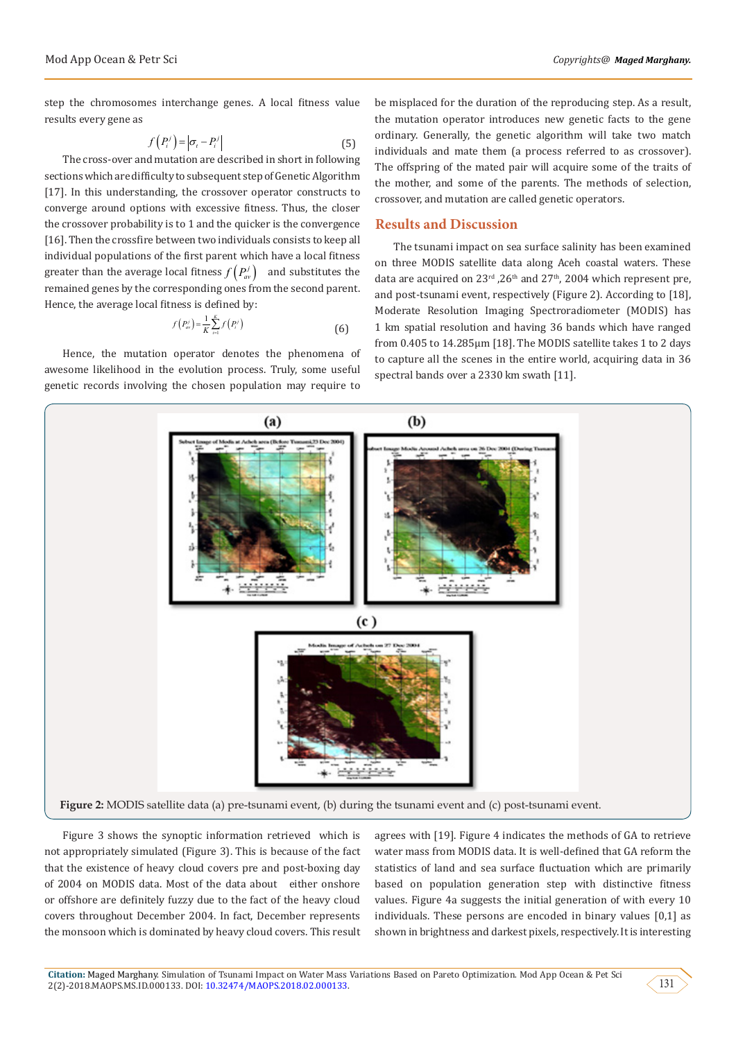step the chromosomes interchange genes. A local fitness value results every gene as

$$
f(P_i^j) = |\sigma_i - P_i^j| \tag{5}
$$

The cross-over and mutation are described in short in following sections which are difficulty to subsequent step of Genetic Algorithm [17]. In this understanding, the crossover operator constructs to converge around options with excessive fitness. Thus, the closer the crossover probability is to 1 and the quicker is the convergence [16]. Then the crossfire between two individuals consists to keep all individual populations of the first parent which have a local fitness greater than the average local fitness  $f\left( P_{av}^{j}\right)$  and substitutes the remained genes by the corresponding ones from the second parent. Hence, the average local fitness is defined by:

$$
f(P'_{av}) = \frac{1}{K} \sum_{i=1}^{K} f(P'_i)
$$
 (6)

Hence, the mutation operator denotes the phenomena of awesome likelihood in the evolution process. Truly, some useful genetic records involving the chosen population may require to

be misplaced for the duration of the reproducing step. As a result, the mutation operator introduces new genetic facts to the gene ordinary. Generally, the genetic algorithm will take two match individuals and mate them (a process referred to as crossover). The offspring of the mated pair will acquire some of the traits of the mother, and some of the parents. The methods of selection, crossover, and mutation are called genetic operators.

### **Results and Discussion**

The tsunami impact on sea surface salinity has been examined on three MODIS satellite data along Aceh coastal waters. These data are acquired on  $23^{\text{rd}}$ ,  $26^{\text{th}}$  and  $27^{\text{th}}$ , 2004 which represent pre, and post-tsunami event, respectively (Figure 2). According to [18], Moderate Resolution Imaging Spectroradiometer (MODIS) has 1 km spatial resolution and having 36 bands which have ranged from 0.405 to 14.285µm [18]. The MODIS satellite takes 1 to 2 days to capture all the scenes in the entire world, acquiring data in 36 spectral bands over a 2330 km swath [11].



Figure 3 shows the synoptic information retrieved which is not appropriately simulated (Figure 3). This is because of the fact that the existence of heavy cloud covers pre and post-boxing day of 2004 on MODIS data. Most of the data about either onshore or offshore are definitely fuzzy due to the fact of the heavy cloud covers throughout December 2004. In fact, December represents the monsoon which is dominated by heavy cloud covers. This result

agrees with [19]. Figure 4 indicates the methods of GA to retrieve water mass from MODIS data. It is well-defined that GA reform the statistics of land and sea surface fluctuation which are primarily based on population generation step with distinctive fitness values. Figure 4a suggests the initial generation of with every 10 individuals. These persons are encoded in binary values [0,1] as shown in brightness and darkest pixels, respectively. It is interesting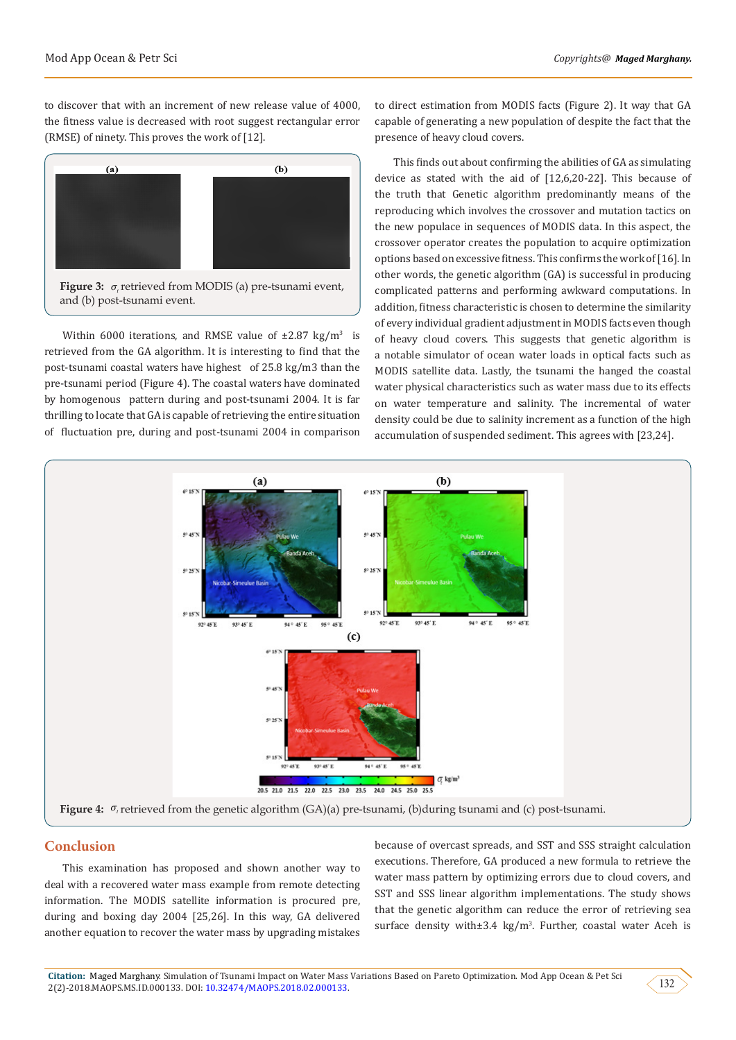to discover that with an increment of new release value of 4000, the fitness value is decreased with root suggest rectangular error (RMSE) of ninety. This proves the work of [12].



Within 6000 iterations, and RMSE value of  $\pm 2.87$  kg/m<sup>3</sup> is retrieved from the GA algorithm. It is interesting to find that the post-tsunami coastal waters have highest of 25.8 kg/m3 than the pre-tsunami period (Figure 4). The coastal waters have dominated by homogenous pattern during and post-tsunami 2004. It is far thrilling to locate that GA is capable of retrieving the entire situation of fluctuation pre, during and post-tsunami 2004 in comparison

to direct estimation from MODIS facts (Figure 2). It way that GA capable of generating a new population of despite the fact that the presence of heavy cloud covers.

This finds out about confirming the abilities of GA as simulating device as stated with the aid of [12,6,20-22]. This because of the truth that Genetic algorithm predominantly means of the reproducing which involves the crossover and mutation tactics on the new populace in sequences of MODIS data. In this aspect, the crossover operator creates the population to acquire optimization options based on excessive fitness. This confirms the work of [16]. In other words, the genetic algorithm (GA) is successful in producing complicated patterns and performing awkward computations. In addition, fitness characteristic is chosen to determine the similarity of every individual gradient adjustment in MODIS facts even though of heavy cloud covers. This suggests that genetic algorithm is a notable simulator of ocean water loads in optical facts such as MODIS satellite data. Lastly, the tsunami the hanged the coastal water physical characteristics such as water mass due to its effects on water temperature and salinity. The incremental of water density could be due to salinity increment as a function of the high accumulation of suspended sediment. This agrees with [23,24].



### **Conclusion**

This examination has proposed and shown another way to deal with a recovered water mass example from remote detecting information. The MODIS satellite information is procured pre, during and boxing day 2004 [25,26]. In this way, GA delivered another equation to recover the water mass by upgrading mistakes

because of overcast spreads, and SST and SSS straight calculation executions. Therefore, GA produced a new formula to retrieve the water mass pattern by optimizing errors due to cloud covers, and SST and SSS linear algorithm implementations. The study shows that the genetic algorithm can reduce the error of retrieving sea surface density with±3.4 kg/m<sup>3</sup>. Further, coastal water Aceh is